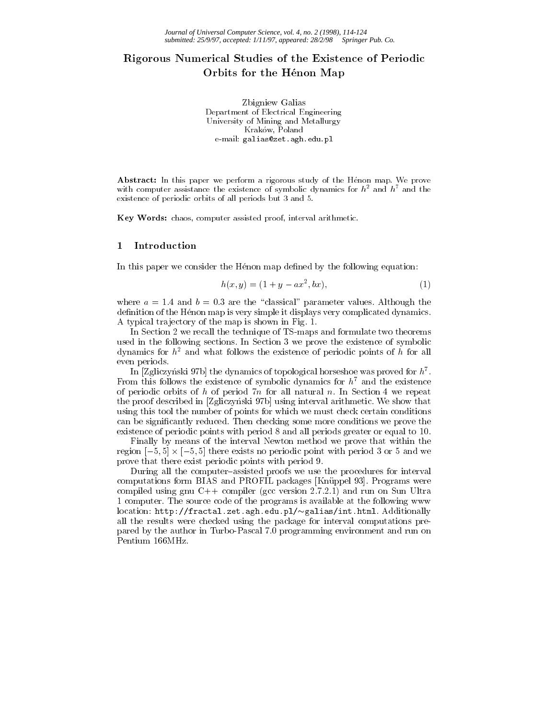# Rigorous Rigman De Economical Studies of the Existence of Art a Critical Studies of Periodic Computer of Perio Orbits for the Henon Map

Zbigniew Galias Department of Electrical Engineering University of Mining and Metallurgy Kraków, Poland e-mail: galias@zet.agh.edu.pl

Abstract: In this paper we perform a rigorous study of the Hénon map. We prove with computer assistance the existence of symbolic dynamics for  $h^2$  and  $h^7$  and the existence of periodic orbits of all periods but 3 and 5.

Key Words: chaos, computer assisted proof, interval arithmetic.

#### 1 Introduction

In this paper we consider the Hénon map defined by the following equation:

$$
h(x, y) = (1 + y - ax^2, bx),
$$
\n(1)

where  $a = 1.4$  and  $b = 0.3$  are the "classical" parameter values. Although the definition of the Hénon map is very simple it displays very complicated dynamics. A typical tra jectory of the map is shown in Fig. 1.

In Section 2 we recall the technique of TS-maps and formulate two theorems used in the following sections. In Section 3 we prove the existence of symbolic dynamics for  $h^2$  and what follows the existence of periodic points of h for all even periods.

In  $Z$ gliczynski 97b] the dynamics of topological horseshoe was proved for  $\hbar$  . From this follows the existence of symbolic dynamics for  $h^7$  and the existence of periodic orbits of h of period  $7n$  for all natural n. In Section 4 we repeat the proof described in [Zgliczyński 97b] using interval arithmetic. We show that using this tool the number of points for which we must check certain conditions can be signicantly reduced. Then checking some more conditions we prove the existence of periodic points with period 8 and all periods greater or equal to 10.

Finally by means of the interval Newton method we prove that within the region and periodic point with periodic point with periodic point with periodic point with periodic point with prove that there exist periodic points with period 9.

During all the computer-assisted proofs we use the procedures for interval computations form BIAS and PROFIL packages [Knuppel 93]. Programs were compiled using gnu C++ compiler (gcc version 2.7.2.1) and run on Sun Ultra 1 computer. The source code of the programs is available at the following www location: http://fractal.zet.agh.edu.pl/~galias/int.html. Additionally all the results were checked using the package for interval computations prepared by the author in Turbo-Pascal 7.0 programming environment and run on Pentium 166MHz.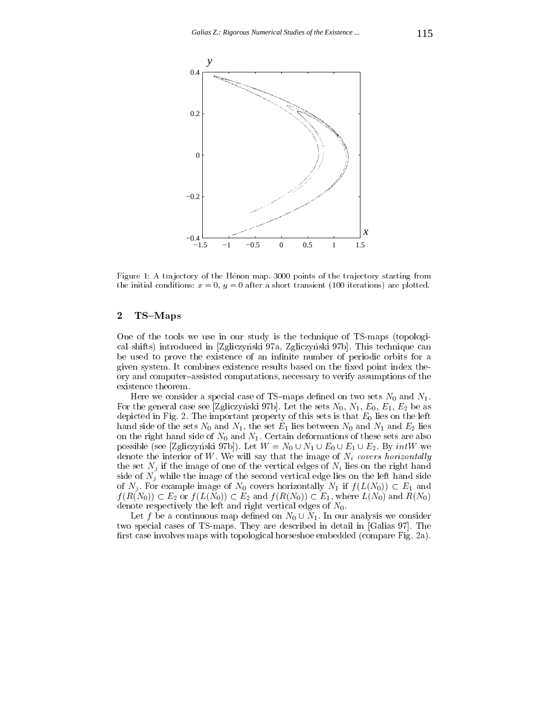

Figure 1: A trajectory of the Henon map. 3000 points of the trajectory starting from the initial conditions:  $x = 0$ ,  $y = 0$  after a short transient (100 iterations) are plotted.

## $2$  TS-Maps

One of the tools we use in our study is the technique of TS-maps (topological shifts) introduced in [Zgliczynski 97a, Zgliczynski 97b]. This technique can be used to prove the existence of an infinite number of periodic orbits for a given system. It combines existence results based on the fixed point index theory and computer-assisted computations, necessary to verify assumptions of the existence theorem.

Here we consider a special case of TS-maps defined on two sets  $N_0$  and  $N_1$ . For the general case see [Zgliczynski 97b]. Let the sets  $N_0$ ,  $N_1$ ,  $E_0$ ,  $E_1$ ,  $E_2$  be as depicted in Fig. 2. The important property of this sets is that  $E_0$  lies on the left hand side of the sets  $N_0$  and  $N_1$ , the set  $E_1$  lies between  $N_0$  and  $N_1$  and  $E_2$  lies on the right hand side of  $N_0$  and  $N_1$ . Certain deformations of these sets are also possible (see [Zgliczynski 97b]). Let <sup>W</sup> =N0 [ N1 [ E0 [ E1 [ E2. By intW we denote the interior of W. We will say that the image of  $N_i$  covers horizontally the set  $N_i$  if the image of one of the vertical edges of  $N_i$  lies on the right hand side of  $N_j$  while the image of the second vertical edge lies on the left hand side of Nj . For example image of N0 covers from the  $\alpha$  and  $\beta$  if  $\alpha$   $\beta$   $(=\langle 1,0\rangle )$   $=\alpha$  is example.  $f$  (R(N))  $f$  is easily (H(N))  $f$  is easily (H(N))  $f$  (R(N))  $f$  =  $f$ ) where  $f$  (N)) and  $\pi$  (NNO) and  $\pi$ denote respectively the left and right vertical edges of  $N_0$ .

 $\mathcal{L}$  be a continuous map denotes map denotes we consider the  $\mathcal{L}$ two special cases of TS-maps. They are described in detail in [Galias 97]. The first case involves maps with topological horseshoe embedded (compare Fig. 2a).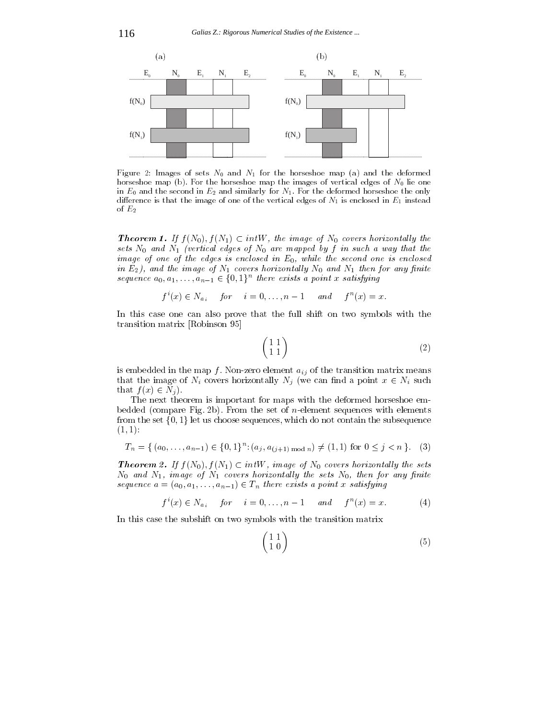

Figure 2: Images of sets  $N_0$  and  $N_1$  for the horseshoe map (a) and the deformed horseshoe map (b). For the horseshoe map the images of vertical edges of  $N_0$  lie one in  $E_0$  and the second in  $E_2$  and similarly for  $N_1$ . For the deformed horseshoe the only difference is that the image of one of the vertical edges of  $N_1$  is enclosed in  $E_1$  instead of  $E_2$ 

**Theorem 1.** If  $f(x_0), f(x_1) \in iniv$ , the image of  $x_0$  covers horizontally the sets N0 and N1 (vertical edges of N0 are mapped by f in such a way that the such a image of one of the edges is enclosed in E0,while the second one is enclosed  $m$  E2), and the image of Iv1 covers horizontally Iv0 and Iv1 then for any finite

sequence 
$$
a_0, a_1, \ldots, a_{n-1} \in \{0, 1\}
$$
 there exists a point x satisfying  
 $f^i(x) \in N_{a_i}$  for  $i = 0, \ldots, n-1$  and  $f^n(x) = x$ .

In this case one can also prove that the full shift on two symbols with the transition matrix [Robinson 95]

$$
\begin{pmatrix} 1 & 1 \\ 1 & 1 \end{pmatrix} \tag{2}
$$

is embedded in the map f. Non-zero element  $a_{ij}$  of the transition matrix means that the image of  $\mathcal{N}$  and a point  $\mathcal{N}$  is  $\mathcal{N}$  . In the canonical point  $\mathcal{N}$  is a point  $\mathcal{N}$  and  $\mathcal{N}$  is a point  $\mathcal{N}$  and  $\mathcal{N}$  is a point  $\mathcal{N}$  is a point  $\mathcal{N}$  is a point  $\mathcal{N}$  i that f  $\mathcal{F} \setminus \mathcal{F}$  is a nj  $\mathcal{F}$ 

The next theorem is important for maps with the deformed horseshoe embedded (compare Fig. 2b). From the set of *n*-element sequences with elements from the set  $\{0,1\}$  let us choose sequences, which do not contain the subsequence  $(1, 1):$ 

$$
T_n = \{ (a_0, \ldots, a_{n-1}) \in \{0, 1\}^n : (a_j, a_{(j+1) \bmod n}) \neq (1, 1) \text{ for } 0 \leq j < n \}. \tag{3}
$$

**Theorem 2.** If  $f(N_0), f(N_1) \subset intW$ , image of  $N_0$  covers horizontally the sets  $N_0$  and  $N_1$ , image of  $N_1$  covers horizontally the sets  $N_0$ , then for any finite sequence  $a = (a_0, a_1, \ldots, a_{n-1}) \in I_n$  there exists a point x satisfying

$$
f^{i}(x) \in N_{a_{i}}
$$
 for  $i = 0, ..., n - 1$  and  $f^{n}(x) = x$ . (4)

In this case the subshift on two symbols with the transition matrix

$$
\begin{pmatrix} 1 & 1 \\ 1 & 0 \end{pmatrix} \tag{5}
$$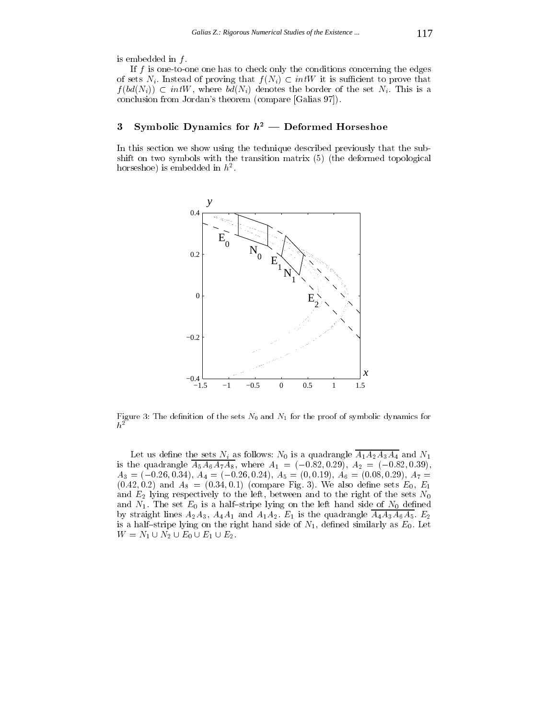is embedded in  $f$ .

If  $f$  is one-to-one one has to check only the conditions concerning the edges of sets Ni . Instead of proving that f (Ni) is such that f (Ni) is such that f (Ni) is such that f (Ni) is such that f (Ni) is such that f (Ni) is such that f (Ni) is such that f (Ni) is such that f (Ni) is such that f (N  $f$  (bd(Ni)) intervalses the  $\mathcal{O}(N)$  denotes the set of the set  $\mathcal{O}(N)$  . This is a set  $\mathcal{O}(N)$ conclusion from Jordan's theorem (compare [Galias 97]).

## 3 Symbolic Dynamics for  $h^2$  — Deformed Horseshoe

In this section we show using the technique described previously that the subshift on two symbols with the transition matrix (5) (the deformed topological  $\max$  is embedded in  $n^2$ .



Figure 3: The definition of the sets  $N_0$  and  $N_1$  for the proof of symbolic dynamics for  $\boldsymbol{h}^2$ 

Let us define the sets  $N_i$  as follows:  $N_0$  is a quadrangle  $A_1A_2A_3A_4$  and  $N_1$ is the quadrangle  $A_5A_6A_7A_8$ , where  $A_1 = (-0.82, 0.29), A_2 = (-0.82, 0.39),$  $A_3 = (-0.26, 0.34), A_4 = (-0.26, 0.24), A_5 = (0, 0.19), A_6 = (0.08, 0.29), A_7 =$  $(0.42, 0.2)$  and  $A_8 = (0.34, 0.1)$  (compare Fig. 3). We also define sets  $E_0, E_1$ and  $E_2$  lying respectively to the left, between and to the right of the sets  $N_0$ and  $N_1$ . The set  $E_0$  is a half-stripe lying on the left hand side of  $N_0$  defined by straight lines  $A_2A_3$ ,  $A_4A_1$  and  $A_1A_2$ .  $E_1$  is the quadrangle  $\overline{A_4A_3A_6A_5}$ .  $E_2$ is a half-stripe lying on the right hand side of  $N_1$ , defined similarly as  $E_0$ . Let  $\mathbf{L}$  is a contract of the contract of  $\mathbf{L}$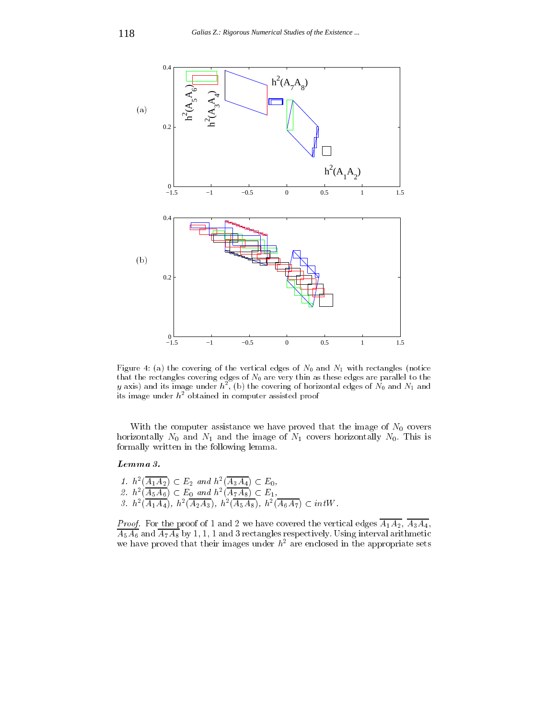

Figure 4: (a) the covering of the vertical edges of  $N_0$  and  $N_1$  with rectangles (notice that the rectangles covering edges of  $N_0$  are very thin as these edges are parallel to the  $y$  axis) and its image under  $h^-$ , (b) the covering of horizontal edges of  $N_0$  and  $N_1$  and its image under  $h^2$  obtained in computer assisted proof

With the computer assistance we have proved that the image of  $N_0$  covers horizontally  $N_0$  and  $N_1$  and the image of  $N_1$  covers horizontally  $N_0$ . This is formally written in the following lemma.

#### Lemma 3.

1.  $h^{-}(A_1A_2) \subset E_2$  and  $h^{-}(A_3A_4) \subset E_0$ ,  $Z$ .  $h^{-}(A_5A_6) \subset E_0$  and  $h^{-}(A_7A_8) \subset E_1$ ,  $\sigma$ . h  $(A_1A_4)$ , h  $(A_2A_3)$ , h  $(A_5A_8)$ , h  $(A_6A_7) \subset$  the W.

Proof. For the proof of 1 and 2 we have covered the vertical edges A1A2, A3A4, A5A6 and A7A8 by 1, 1, 1 and 3 rectangles respectively. Using interval arithmetic we have proved that their images under  $h^2$  are enclosed in the appropriate sets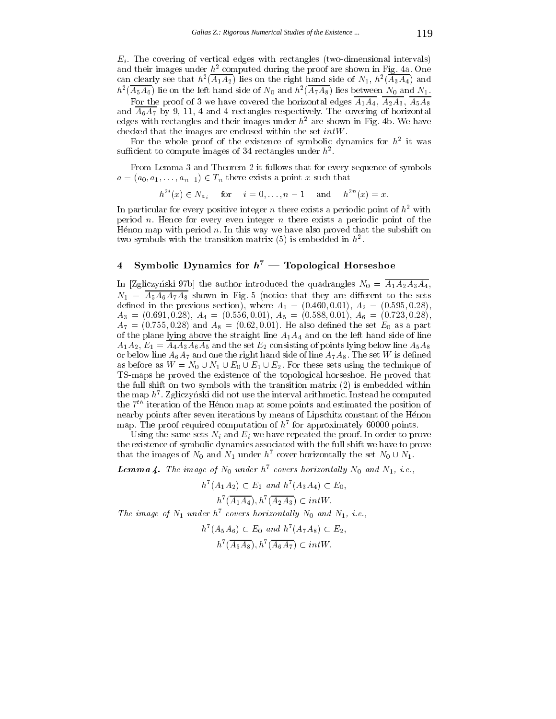$E_i$ . The covering of vertical edges with rectangles (two-dimensional intervals) and their images under  $h^2$  computed during the proof are shown in Fig. 4a. One can clearly see that  $h^-(A_1A_2)$  hes on the right hand side of  $N_1$ ,  $h^-(A_3A_4)$  and  $\mu$  (A5A6) he on the left hand side of N<sub>0</sub> and  $\mu$  (A7A8) hes between N<sub>0</sub> and N<sub>1</sub>.

For the proof of 3 we have covered the horizontal edges  $\overline{A_1A_4}$ ,  $\overline{A_2A_3}$ ,  $\overline{A_5A_8}$ and  $\overline{A_6A_7}$  by 9, 11, 4 and 4 rectangles respectively. The covering of horizontal edges with rectangles and their images under  $h<sup>2</sup>$  are shown in Fig. 4b. We have checked that the images are enclosed within the set intW.

For the whole proof of the existence of symbolic dynamics for  $\mu$  –it was sumcient to compute images of  $34$  rectangles under  $\hbar$  .

From Lemma 3 and Theorem 2 it follows that for every sequence of symbols and the contract a point  $\mathbf{r}$  and  $\mathbf{r}$  is a point  $\mathbf{r}$  such that  $\mathbf{r}$  is a point  $\mathbf{r}$  and  $\mathbf{r}$  is a point  $\mathbf{r}$  and  $\mathbf{r}$  is a point  $\mathbf{r}$  and  $\mathbf{r}$  is a point  $\mathbf{r}$  is a point  $\mathbf{$ 

 $h^{-1}(x) \in N_{a_i}$  for  $i = 0, \ldots, n-1$  and  $h^{-1}(x) = x$ .

In particular for every positive integer n there exists a periodic point of  $h^2$  with period n. Hence for every even integer n there exists a periodic point of the Henon map with period  $n$ . In this way we have also proved that the subshift on two symbols with the transition matrix (5) is embedded in  $\hbar^2$ .

## 4 Symbolic Dynamics for  $h^7$  — Topological Horseshoe

In [Zgliczynski 97b] the author introduced the quadrangles  $N_0 = \overline{A_1 A_2 A_3 A_4}$ ,  $N_1 = \overline{A_5A_6A_7A_8}$  shown in Fig. 5 (notice that they are different to the sets define the previous section of  $\mu$  and  $\mu$  and  $\mu$  and  $\mu$  and  $\mu$ - A3 A3 E1:691; A4 E1:691; O:01), A4 E1:01; O:01; O:01; O:01; O:01; O:01; O:01; O:01; O:01; O:01; O:01; O:01; O  $A_7 = (0.755, 0.28)$  and  $A_8 = (0.62, 0.01)$ . He also defined the set  $E_0$  as a part of the plane lying above the straight line  $A_1A_4$  and on the left hand side of line  $A_1A_2, E_1 = \overline{A_4A_3A_6A_5}$  and the set  $E_2$  consisting of points lying below line  $A_5A_8$ or below line  $A_6A_7$  and one the right hand side of line  $A_7A_8$ . The set W is defined as before as <sup>W</sup> <sup>=</sup> N0 [ N1 [ E0 [ E1 [ E2. For these sets using the technique of TS-maps he proved the existence of the topological horseshoe. He proved that the full shift on two symbols with the transition matrix (2) is embedded within the map  $n^+$ . Zgliczynski did not use the interval arithmetic. Instead he computed  $\,$ the  $7<sup>th</sup>$  iteration of the Hénon map at some points and estimated the position of nearby points after seven iterations by means of Lipschitz constant of the Henon  $\max$  the proof required computation of  $\kappa$  for approximately 60000 points.

Using the same sets  $N_i$  and  $E_i$  we have repeated the proof. In order to prove the existence of symbolic dynamics associated with the full shift we have to prove that the images of  $N_0$  and  $N_1$  under  $n$  -cover horizontally the set  $N_0 \cup N_1$ .

**Lemma 4.** The image of  $N_0$  under  $h^7$  covers horizontally  $N_0$  and  $N_1$ , i.e.,

$$
h^7(A_1A_2) \subset E_2
$$
 and  $h^7(A_3A_4) \subset E_0$ ,  
\n $h^7(\overline{A_1A_4}), h^7(\overline{A_2A_3}) \subset intW$ .

The image of  $N_1$  under h7 covers horizontally  $N_0$  and  $N_1, i.e.,$ 

$$
h^7(A_5A_6) \subset E_0 \text{ and } h^7(A_7A_8) \subset E_2,
$$
  

$$
h^7(\overline{A_5A_8}), h^7(\overline{A_6A_7}) \subset intW.
$$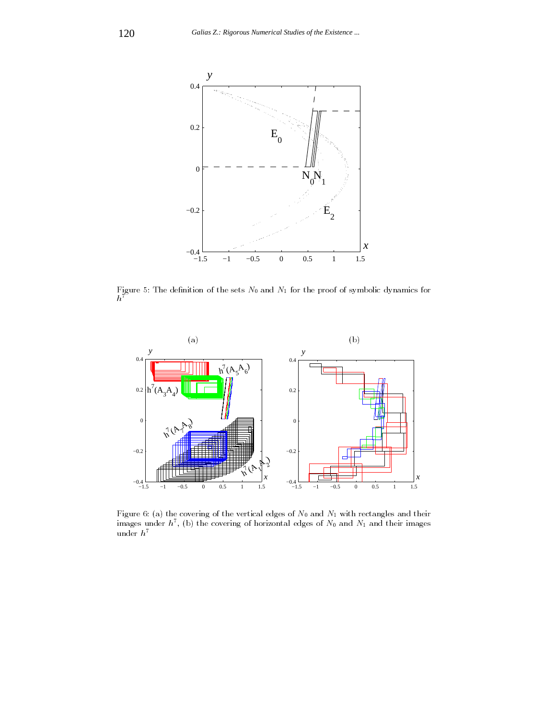

 $h^7$ 



Figure 6: (a) the covering of the vertical edges of  $N_0$  and  $N_1$  with rectangles and their images under  $n^{\prime}$  , (b) the covering of horizontal edges of  $N_0$  and  $N_1$  and their images under $\,h^7$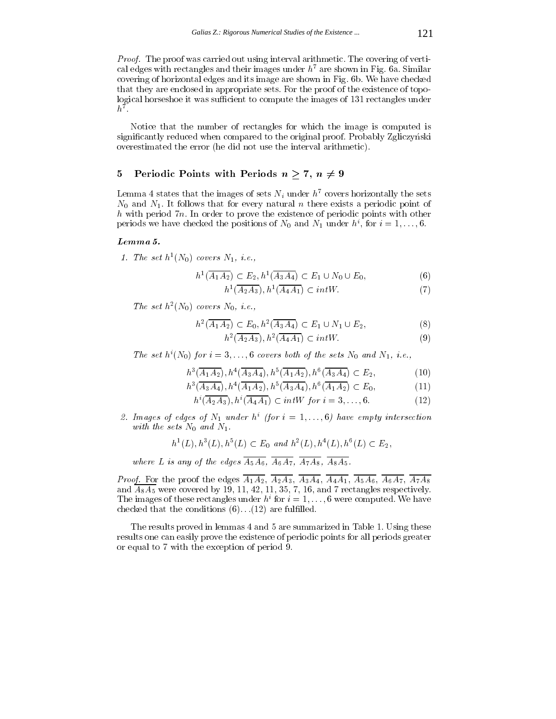Proof. The proof was carried out using interval arithmetic. The covering of vertical edges with rectangles and their images under  $h^7$  are shown in Fig. 6a. Similar covering of horizontal edges and its image are shown in Fig. 6b. We have checked that they are enclosed in appropriate sets. For the proof of the existence of topological horseshoe it was sufficient to compute the images of 131 rectangles under  $\mathbf{u}$  . The set of  $\mathbf{u}$ 

Notice that the number of rectangles for which the image is computed is significantly reduced when compared to the original proof. Probably Zgliczynski overestimated the error (he did not use the interval arithmetic).

## 5 Periodic Points with Periods  $n \geq 7$ ,  $n \neq 9$

Lemma 4 states that the images of sets  $N_i$  under  $h^7$  covers horizontally the sets  $N_0$  and  $N_1$ . It follows that for every natural n there exists a periodic point of  $h$  with period 7n. In order to prove the existence of periodic points with other periods we have checked the positions of  $N_0$  and  $N_1$  under  $n^*$ , for  $i = 1, \ldots, 6$ .

#### Lemma 5.

 $where$ 

1. The set  $n^-(N_0)$  covers  $N_1, i.e.,$ 

$$
h^1(\overline{A_1A_2}) \subset E_2, h^1(\overline{A_3A_4}) \subset E_1 \cup N_0 \cup E_0,
$$
\n(6)

$$
h^1(\overline{A_2A_3}), h^1(\overline{A_4A_1}) \subset intW. \tag{7}
$$

The set  $\mu$  (iv<sub>0</sub>) covers iv<sub>0</sub>, i.e.,

$$
h^{2}(\overline{A_{1}A_{2}}) \subset E_{0}, h^{2}(\overline{A_{3}A_{4}}) \subset E_{1} \cup N_{1} \cup E_{2},
$$
\n(8)

$$
h^2(\overline{A_2A_3}), h^2(\overline{A_4A_1}) \subset intW. \tag{9}
$$

The set  $h^*(N_0)$  for  $i = 3,\ldots, 6$  covers both of the sets  $N_0$  and  $N_1, i.e.,$ 

$$
h^{3}(\overline{A_{1}A_{2}}), h^{4}(\overline{A_{3}A_{4}}), h^{5}(\overline{A_{1}A_{2}}), h^{6}(\overline{A_{3}A_{4}}) \subset E_{2}, \tag{10}
$$

$$
h^{3}(\overline{A_{3}A_{4}}), h^{4}(\overline{A_{1}A_{2}}), h^{5}(\overline{A_{3}A_{4}}), h^{6}(\overline{A_{1}A_{2}}) \subset E_{0}, \qquad (11)
$$

$$
h^{i}(\overline{A_2A_3}), h^{i}(\overline{A_4A_1}) \subset intW \text{ for } i = 3, ..., 6. \tag{12}
$$

z. Images of eages of  $N_1$  under  $n$  (for  $i = 1, \ldots, 0$ ) have empty intersection with the sets  $N_0$  and  $N_1$ .

$$
h1(L), h3(L), h5(L) \subset E0 and h2(L), h4(L), h6(L) \subset E2,
$$
  
re L is any of the edges  $\overline{A_5A_6}$ ,  $\overline{A_6A_7}$ ,  $\overline{A_7A_8}$ ,  $\overline{A_8A_5}$ .

Proof. For the proof the edges A1A2, A2A3, A3A4, A4A1, A5A6, A6A7, A7A8 and  $\overline{A_8A_5}$  were covered by 19, 11, 42, 11, 35, 7, 16, and 7 rectangles respectively. The images of these rectangles under  $h^i$  for  $i = 1, \ldots, 6$  were computed. We have checked that the conditions  $(6)$ ... $(12)$  are fulfilled.

The results proved in lemmas 4 and 5 are summarized in Table 1. Using these results one can easily prove the existence of periodic points for all periods greater or equal to 7 with the exception of period 9.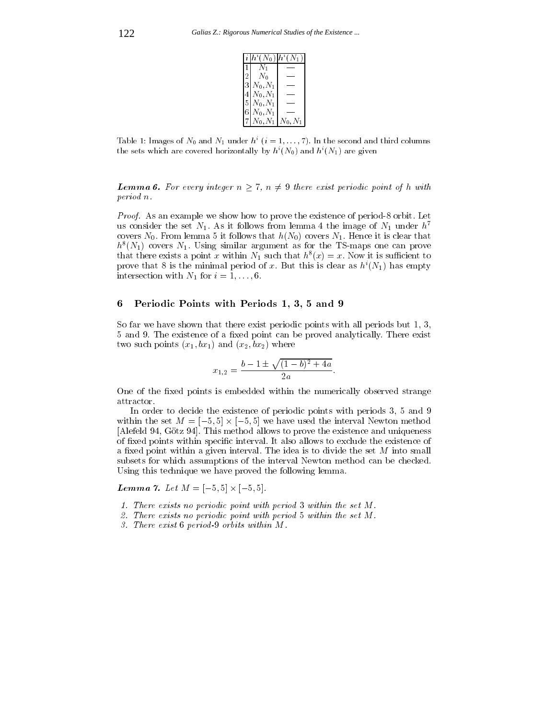| $ h^i(N_0) $          | $h^i(N_1)$ |
|-----------------------|------------|
| /V 1                  |            |
| $N_0$                 |            |
| $3 N_0,N_1 $          |            |
| $4 N_0,N_1 $          |            |
| $5 N_0,N_1$           |            |
| $6 N_0,N_1 $          |            |
| $N_0, N_1   N_0, N_1$ |            |

Table 1: Images of  $N_0$  and  $N_1$  under  $h^i$  ( $i = 1, \ldots, 7$ ). In the second and third columns the sets which are covered horizontally by  $h^{i}(N_0)$  and  $h^{i}(N_1)$  are given

**Lemma 6.** For every integer  $n \geq 1$ ,  $n \neq 3$  there exist periodic point of h with period n.

Proof. As an example we show how to prove the existence of period-8 orbit. Let us consider the set  $N_1$ . As it follows from lemma 4 the image of  $N_1$  under  $h^7$ covers  $N_0$ . From lemma 5 it follows that  $h(N_0)$  covers  $N_1$ . Hence it is clear that  $h^-(N_1)$  covers  $N_1$ . Using similar argument as for the TS-maps one can prove that there exists a point x within  $N_1$  such that  $h_-(x) = x$ . Now it is sumplement to prove that 8 is the minimal period of x. But this is clear as  $h^{i}(N_1)$  has empty intersection with  $N_1$  for  $i = 1, \ldots, 6$ .

#### 6 Periodic Points with Periods 1, 3, 5 and 9

So far we have shown that there exist periodic points with all periods but 1, 3, 5 and 9. The existence of a fixed point can be proved analytically. There exist two such points  $(x_1, bx_1)$  and  $(x_2, bx_2)$  where

$$
x_{1,2} = \frac{b - 1 \pm \sqrt{(1 - b)^2 + 4a}}{2a}.
$$

One of the fixed points is embedded within the numerically observed strange attractor.

In order to decide the existence of periodic points with periods 3, 5 and 9 with the set M = [5; 5] will be interval Newton method we have used the interval Newton methods in [Alefeld 94, Götz 94]. This method allows to prove the existence and uniqueness of fixed points within specific interval. It also allows to exclude the existence of a fixed point within a given interval. The idea is to divide the set  $M$  into small subsets for which assumptions of the interval Newton method can be checked. Using this technique we have proved the following lemma.

 $\blacksquare$  ...  $\blacksquare$  ...  $\blacksquare$  ...  $\blacksquare$  ...  $\blacksquare$  ...  $\blacksquare$  ...  $\blacksquare$  ...  $\blacksquare$  ...  $\blacksquare$  ...  $\blacksquare$  ...  $\blacksquare$ 

- 1. There exists no periodic point with period 3 within the set M.
- $\sim$  1 here exists no periodic point with period 5 within the set  $M$  .  $\sim$
- 3. There exist 6 period-9 orbits within M.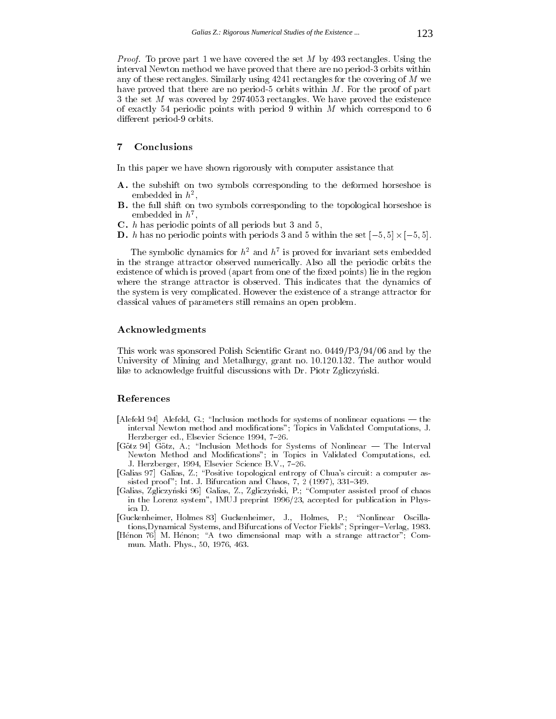Proof. To prove part 1 we have covered the set M by 493 rectangles. Using the interval Newton method we have proved that there are no period-3 orbits within any of these rectangles. Similarly using 4241 rectangles for the covering of M we have proved that there are no period-5 orbits within  $M$ . For the proof of part 3 the set M was covered by 2974053 rectangles. We have proved the existence of exactly 54 periodic points with period 9 within  $M$  which correspond to 6 different period-9 orbits.

## 7 Conclusions

In this paper we have shown rigorously with computer assistance that

- A. the subshift on two symbols corresponding to the deformed horseshoe is embedded in  $h^2$ , ,
- B. the full shift on two symbols corresponding to the topological horseshoe is embedded in  $\mu^*,$
- C. h has periodic points of all periods but 3 and 5,
- D. <sup>h</sup> has no periodic points with periods 3 and 5 within the set [5; 5] [5; 5].

I he symbolic dynamics for  $h^2$  and  $h^2$  is proved for invariant sets embedded in the strange attractor observed numerically. Also all the periodic orbits the existence of which is proved (apart from one of the fixed points) lie in the region where the strange attractor is observed. This indicates that the dynamics of the system is very complicated. However the existence of a strange attractor for classical values of parameters still remains an open problem.

#### Acknowledgments

This work was sponsored Polish Scientific Grant no. 0449/P3/94/06 and by the University of Mining and Metallurgy, grant no. 10.120.132. The author would like to acknowledge fruitful discussions with Dr. Piotr Zgliczyński.

## References

- [Alefeld 94] Alefeld, G.; "Inclusion methods for systems of nonlinear equations  $-$  the interval Newton method and modications"; Topics in Validated Computations, J. Herzberger ed., Elsevier Science 1994, 7-26.
- [Götz 94] Götz, A.; "Inclusion Methods for Systems of Nonlinear The Interval Newton Method and Modications"; in Topics in Validated Computations, ed. J. Herzberger, 1994, Elsevier Science B.V., 7-26.
- [Galias 97] Galias, Z.; \Positive topological entropy of Chua's circuit: a computer assisted proof"; Int. J. Bifurcation and Chaos,  $7, 2$  (1997), 331–349.
- [Galias, Zgliczynski 96] Galias, Z., Zgliczynski, P.; \Computer assisted proof of chaos in the Lorenz system", IMUJ preprint 1996/23, accepted for publication in Physica D.
- [Guckenheimer, Holmes 83] Guckenheimer, J., Holmes, P.; \Nonlinear Oscillations,Dynamical Systems, and Bifurcations of Vector Fields"; Springer{Verlag, 1983.
- [Henon 76] M. Henon; "A two dimensional map with a strange attractor"; Commun. Math. Phys., 50, 1976, 463.